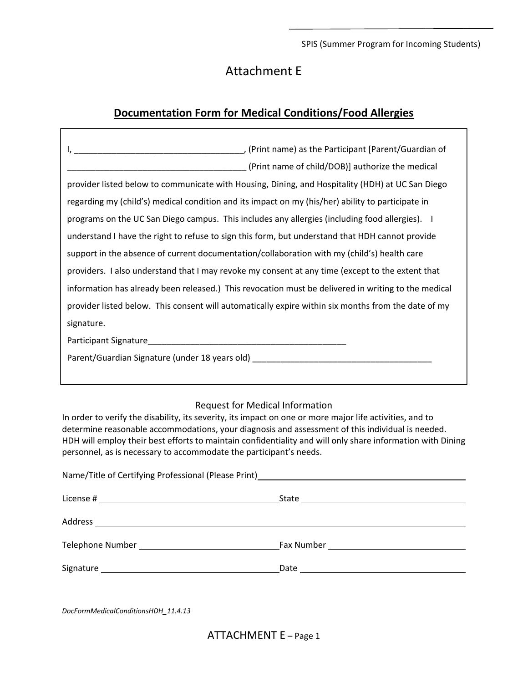SPIS (Summer Program for Incoming Students)

## Attachment E

## **Documentation Form for Medical Conditions/Food Allergies**

| (Print name of child/DOB)] authorize the medical                                                    |
|-----------------------------------------------------------------------------------------------------|
| provider listed below to communicate with Housing, Dining, and Hospitality (HDH) at UC San Diego    |
| regarding my (child's) medical condition and its impact on my (his/her) ability to participate in   |
| programs on the UC San Diego campus. This includes any allergies (including food allergies). I      |
| understand I have the right to refuse to sign this form, but understand that HDH cannot provide     |
| support in the absence of current documentation/collaboration with my (child's) health care         |
| providers. I also understand that I may revoke my consent at any time (except to the extent that    |
| information has already been released.) This revocation must be delivered in writing to the medical |
| provider listed below. This consent will automatically expire within six months from the date of my |
| signature.                                                                                          |
|                                                                                                     |
| Parent/Guardian Signature (under 18 years old) _________________________________                    |
|                                                                                                     |

## Request for Medical Information

In order to verify the disability, its severity, its impact on one or more major life activities, and to determine reasonable accommodations, your diagnosis and assessment of this individual is needed. HDH will employ their best efforts to maintain confidentiality and will only share information with Dining personnel, as is necessary to accommodate the participant's needs.

| Name/Title of Certifying Professional (Please Print)____________________________ |  |
|----------------------------------------------------------------------------------|--|
|                                                                                  |  |
|                                                                                  |  |
|                                                                                  |  |
|                                                                                  |  |
|                                                                                  |  |

*DocFormMedicalConditionsHDH\_11.4.13*